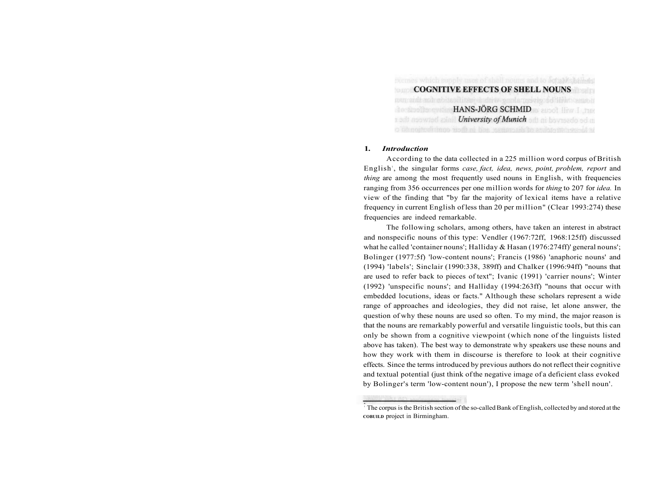# **COGNITIVE EFFECTS OF SHELL NOUNS** HANS-JÖRG SCHMID

1 add notwied all University of Munich att at boyneado ad m

# **1.** *Introduction*

According to the data collected in a 225 million word corpus of British English', the singular forms case, fact, idea, news, point, problem, report and *thing* are among the most frequently used nouns in English, with frequencies ranging from 356 occurrences per one million words for *thing* to 207 for *idea.* In view of the finding that "by far the majority of lexical items have a relative frequency in current English of less than 20 per million" (Clear 1993:274) these frequencies are indeed remarkable.

The following scholars, among others, have taken an interest in abstract and nonspecific nouns of this type: Vendler (1967:72ff, 1968:125ff) discussed what he called 'container nouns'; Halliday & Hasan (1976:274ff)' general nouns'; Bolinger (1977:5f) 'low-content nouns'; Francis (1986) 'anaphoric nouns' and (1994) 'labels'; Sinclair (1990:338, 389ff) and Chalker (1996:94ff) "nouns that are used to refer back to pieces of text"; Ivanic (1991) 'carrier nouns'; Winter (1992) 'unspecific nouns'; and Halliday (1994:263ff) "nouns that occur with embedded locutions, ideas or facts." Although these scholars represent a wide range of approaches and ideologies, they did not raise, let alone answer, the question of why these nouns are used so often. To my mind, the major reason is that the nouns are remarkably powerful and versatile linguistic tools, but this can only be shown from a cognitive viewpoint (which none of the linguists listed above has taken). The best way to demonstrate why speakers use these nouns and how they work with them in discourse is therefore to look at their cognitive effects. Since the terms introduced by previous authors do not reflect their cognitive and textual potential (just think of the negative image of a deficient class evoked by Bolinger's term 'low-content noun'), I propose the new term 'shell noun'.

<sup>1</sup> The corpus is the British section of the so-called Bank of English, collected by and stored at the **COBUILD** project in Birmingham.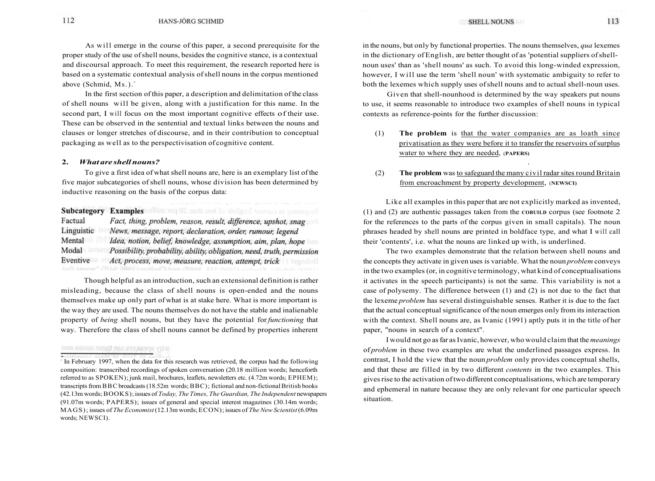As will emerge in the course of this paper, a second prerequisite for the proper study of the use of shell nouns, besides the cognitive stance, is a contextual and discoursal approach. To meet this requirement, the research reported here is based on a systematic contextual analysis of shell nouns in the corpus mentioned above (Schmid, Ms.).<sup>2</sup>

In the first section of this paper, a description and delimitation of the class of shell nouns will be given, along with a justification for this name. In the second part, I will focus on the most important cognitive effects of their use. These can be observed in the sentential and textual links between the nouns and clauses or longer stretches of discourse, and in their contribution to conceptual packaging as well as to the perspectivisation of cognitive content.

## **2.** *What are shell nouns?*

To give a first idea of what shell nouns are, here is an exemplary list of the five major subcategories of shell nouns, whose division has been determined by inductive reasoning on the basis of the corpus data:

Subcategory Examples offlion rou OS ment again to dailand toomus or youngering Fact, thing, problem, reason, result, difference, upshot, snag Factual Linguistic News, message, report, declaration, order, rumour, legend Idea, notion, belief, knowledge, assumption, aim, plan, hope Mental Possibility, probability, ability, obligation, need, truth, permission Modal Eventive Act, process, move, measure, reaction, attempt, trick tedt source" (BAR-3001) welled ateau (B080 SED-0001) -infants subsidiary and th

Though helpful as an introduction, such an extensional definition is rather misleading, because the class of shell nouns is open-ended and the nouns themselves make up only part of what is at stake here. What is more important is the way they are used. The nouns themselves do not have the stable and inalienable property of *being* shell nouns, but they have the potential for *functioning* that way. Therefore the class of shell nouns cannot be defined by properties inherent

Why speakers use these nouns and

in the nouns, but only by functional properties. The nouns themselves, *qua* lexemes in the dictionary of English, are better thought of as 'potential suppliers of shellnoun uses' than as 'shell nouns' as such. To avoid this long-winded expression, however, I will use the term 'shell noun' with systematic ambiguity to refer to both the lexemes which supply uses of shell nouns and to actual shell-noun uses.

Given that shell-nounhood is determined by the way speakers put nouns to use, it seems reasonable to introduce two examples of shell nouns in typical contexts as reference-points for the further discussion:

- (1) **The problem** is that the water companies are as loath since privatisation as they were before it to transfer the reservoirs of surplus water to where they are needed, (**PAPERS)**
- (2) **The problem** was to safeguard the many civil radar sites round Britain from encroachment by property development, (**NEWSCI)**

**•** 

Like all examples in this paper that are not explicitly marked as invented, (1) and (2) are authentic passages taken from the **COBUILD** corpus (see footnote 2 for the references to the parts of the corpus given in small capitals). The noun phrases headed by shell nouns are printed in boldface type, and what I will call their 'contents', i.e. what the nouns are linked up with, is underlined.

The two examples demonstrate that the relation between shell nouns and the concepts they activate in given uses is variable. What the noun *problem* conveys in the two examples (or, in cognitive terminology, what kind of conceptualisations it activates in the speech participants) is not the same. This variability is not a case of polysemy. The difference between (1) and (2) is not due to the fact that the lexeme *problem* has several distinguishable senses. Rather it is due to the fact that the actual conceptual significance of the noun emerges only from its interaction with the context. Shell nouns are, as Ivanic (1991) aptly puts it in the title of her paper, "nouns in search of a context".

I would not go as far as Ivanic, however, who would claim that the *meanings*  of *problem* in these two examples are what the underlined passages express. In contrast, I hold the view that the noun *problem* only provides conceptual shells, and that these are filled in by two different *contents* in the two examples. This gives rise to the activation of two different conceptualisations, which are temporary and ephemeral in nature because they are only relevant for one particular speech situation.

In February 1997, when the data for this research was retrieved, the corpus had the following composition: transcribed recordings of spoken conversation (20.18 million words; henceforth referred to as SPOKEN); junk mail, brochures, leaflets, newsletters etc. (4.72m words; EPHEM); transcripts from BBC broadcasts (18.52m words; BBC); fictional and non-fictional British books (42.13m words; BOOKS); issues of *Today, The Times, The Guardian, The Independent* newspapers (91.07m words; PAPERS); issues of general and special interest magazines (30.14m words; MAGS); issues of *The Economist* (12.13m words; ECON); issues of *The New Scientist* (6.09m words; NEWSCI).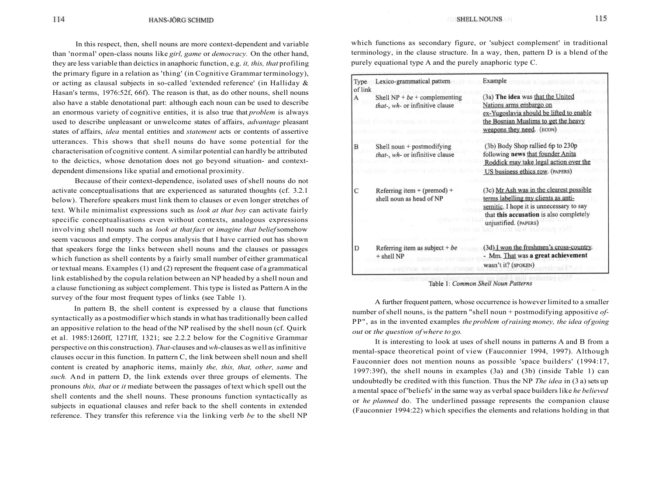In this respect, then, shell nouns are more context-dependent and variable than 'normal' open-class nouns like *girl, game* or *democracy.* On the other hand, they are less variable than deictics in anaphoric function, e.g. *it, this, that* profiling the primary figure in a relation as 'thing' (in Cognitive Grammar terminology), or acting as clausal subjects in so-called 'extended reference' (in Halliday & Hasan's terms, 1976:52f, 66f). The reason is that, as do other nouns, shell nouns also have a stable denotational part: although each noun can be used to describe an enormous variety of cognitive entities, it is also true that *problem* is always used to describe unpleasant or unwelcome states of affairs, *advantage* pleasant states of affairs, *idea* mental entities and *statement* acts or contents of assertive utterances. This shows that shell nouns do have some potential for the characterisation of cognitive content. A similar potential can hardly be attributed to the deictics, whose denotation does not go beyond situation- and contextdependent dimensions like spatial and emotional proximity.

Because of their context-dependence, isolated uses of shell nouns do not activate conceptualisations that are experienced as saturated thoughts (cf. 3.2.1 below). Therefore speakers must link them to clauses or even longer stretches of text. While minimalist expressions such as *look at that boy* can activate fairly specific conceptualisations even without contexts, analogous expressions involving shell nouns such as *look at that fact* or *imagine that belief* somehow seem vacuous and empty. The corpus analysis that I have carried out has shown that speakers forge the links between shell nouns and the clauses or passages which function as shell contents by a fairly small number of either grammatical or textual means. Examples (1) and (2) represent the frequent case of a grammatical link established by the copula relation between an NP headed by a shell noun and a clause functioning as subject complement. This type is listed as Pattern A in the survey of the four most frequent types of links (see Table 1).

In pattern B, the shell content is expressed by a clause that functions syntactically as a postmodifier which stands in what has traditionally been called an appositive relation to the head of the NP realised by the shell noun (cf. Quirk et al. 1985:1260ff, 1271ff, 1321; see 2.2.2 below for the Cognitive Grammar perspective on this construction). *That-*clauses and *wh*-clauses as well as infinitive clauses occur in this function. In pattern C, the link between shell noun and shell content is created by anaphoric items, mainly *the, this, that, other, same* and *such.* And in pattern D, the link extends over three groups of elements. The pronouns *this, that* or *it* mediate between the passages of text which spell out the shell contents and the shell nouns. These pronouns function syntactically as subjects in equational clauses and refer back to the shell contents in extended reference. They transfer this reference via the linking verb *be* to the shell NP

which functions as secondary figure, or 'subject complement' in traditional terminology, in the clause structure. In a way, then, pattern D is a blend of the purely equational type A and the purely anaphoric type C.

SHELL NOUNS

| Type<br>of link | Lexico-grammatical pattern       | Example<br>STRITTI DHOM                                          |
|-----------------|----------------------------------|------------------------------------------------------------------|
| A               | Shell $NP + be + complementing$  | (3a) The idea was that the United                                |
|                 | that-, wh- or infinitive clause  | Nations arms embargo on                                          |
|                 |                                  | ex-Yugoslavia should be lifted to enable                         |
|                 |                                  | the Bosnian Muslims to get the heavy                             |
|                 |                                  | weapons they need. (ECON)                                        |
| В               | Shell noun $+$ postmodifying     | (3b) Body Shop rallied 6p to 230p                                |
|                 | that-, wh- or infinitive clause  | following news that founder Anita                                |
|                 |                                  | Roddick may take legal action over the                           |
|                 |                                  | US business ethics row. (PAPERS)                                 |
| C               | Referring item $+$ (premod) $+$  | (3c) Mr Ash was in the clearest possible                         |
|                 | shell noun as head of NP         | terms labelling my clients as anti-                              |
|                 |                                  | semitic. I hope it is unnecessary to say                         |
|                 |                                  | that this accusation is also completely<br>unjustified. (PAPERS) |
|                 |                                  | e i Bistika                                                      |
| D               | Referring item as subject $+$ be | (3d) I won the freshmen's cross-country.                         |
|                 | + shell NP                       | - Mm. That was a great achievement                               |
|                 |                                  | wasn't it? (SPOKEN)                                              |

Table 1: Common Shell Noun Patterns

A further frequent pattern, whose occurrence is however limited to a smaller number of shell nouns, is the pattern "shell noun + postmodifying appositive *of-*PP", as in the invented examples *the problem of raising money, the idea of going out* or *the question of where to go.* 

It is interesting to look at uses of shell nouns in patterns A and B from a mental-space theoretical point of view (Fauconnier 1994, 1997). Although Fauconnier does not mention nouns as possible 'space builders' (1994:17, 1997:39f), the shell nouns in examples (3a) and (3b) (inside Table 1) can undoubtedly be credited with this function. Thus the NP *The idea* in (3 a) sets up a mental space of 'beliefs' in the same way as verbal space builders like *he believed*  or *he planned* do. The underlined passage represents the companion clause (Fauconnier 1994:22) which specifies the elements and relations holding in that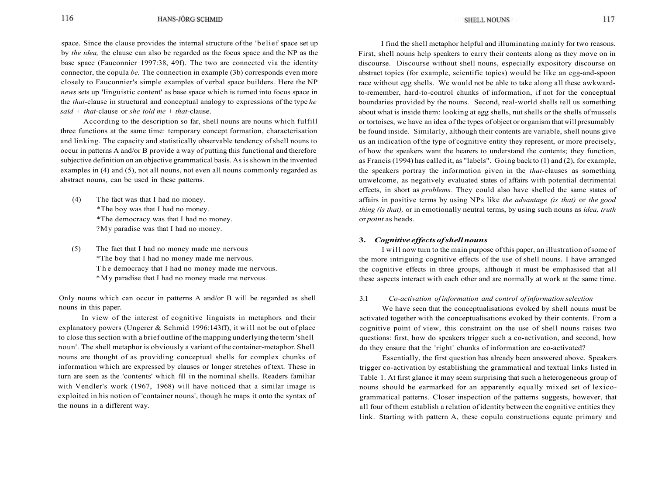space. Since the clause provides the internal structure of the 'belief space set up by *the idea,* the clause can also be regarded as the focus space and the NP as the base space (Fauconnier 1997:38, 49f). The two are connected via the identity connector, the copula *be.* The connection in example (3b) corresponds even more closely to Fauconnier's simple examples of verbal space builders. Here the NP *news* sets up 'linguistic content' as base space which is turned into focus space in the *that*-clause in structural and conceptual analogy to expressions of the type *he said + that*-clause or *she told me* + *that*-clause.

According to the description so far, shell nouns are nouns which fulfill three functions at the same time: temporary concept formation, characterisation and linking. The capacity and statistically observable tendency of shell nouns to occur in patterns A and/or B provide a way of putting this functional and therefore subjective definition on an objective grammatical basis. As is shown in the invented examples in (4) and (5), not all nouns, not even all nouns commonly regarded as abstract nouns, can be used in these patterns.

- (4) The fact was that I had no money. \*The boy was that I had no money. \*The democracy was that I had no money. ?My paradise was that I had no money.
- (5) The fact that I had no money made me nervous \*The boy that I had no money made me nervous. The democracy that I had no money made me nervous. \*My paradise that I had no money made me nervous.

Only nouns which can occur in patterns A and/or B will be regarded as shell nouns in this paper.

In view of the interest of cognitive linguists in metaphors and their explanatory powers (Ungerer & Schmid 1996:143ff), it will not be out of place to close this section with a brief outline of the mapping underlying the term 'shell noun'. The shell metaphor is obviously a variant of the container-metaphor. Shell nouns are thought of as providing conceptual shells for complex chunks of information which are expressed by clauses or longer stretches of text. These in turn are seen as the 'contents' which fill in the nominal shells. Readers familiar with Vendler's work (1967, 1968) will have noticed that a similar image is exploited in his notion of 'container nouns', though he maps it onto the syntax of the nouns in a different way.

I find the shell metaphor helpful and illuminating mainly for two reasons. First, shell nouns help speakers to carry their contents along as they move on in discourse. Discourse without shell nouns, especially expository discourse on abstract topics (for example, scientific topics) would be like an egg-and-spoon race without egg shells. We would not be able to take along all these awkwardto-remember, hard-to-control chunks of information, if not for the conceptual boundaries provided by the nouns. Second, real-world shells tell us something about what is inside them: looking at egg shells, nut shells or the shells of mussels or tortoises, we have an idea of the types of object or organism that will presumably be found inside. Similarly, although their contents are variable, shell nouns give us an indication of the type of cognitive entity they represent, or more precisely, of how the speakers want the hearers to understand the contents; they function, as Francis (1994) has called it, as "labels". Going back to (1) and (2), for example, the speakers portray the information given in the *that*-clauses as something unwelcome, as negatively evaluated states of affairs with potential detrimental effects, in short as *problems.* They could also have shelled the same states of affairs in positive terms by using NPs like *the advantage (is that)* or *the good thing (is that),* or in emotionally neutral terms, by using such nouns as *idea, truth*  or *point* as heads.

# **3.** *Cognitive effects of shell nouns*

I will now turn to the main purpose of this paper, an illustration of some of the more intriguing cognitive effects of the use of shell nouns. I have arranged the cognitive effects in three groups, although it must be emphasised that all these aspects interact with each other and are normally at work at the same time.

# 3.1 *Co-activation of information and control of information selection*

We have seen that the conceptualisations evoked by shell nouns must be activated together with the conceptualisations evoked by their contents. From a cognitive point of view, this constraint on the use of shell nouns raises two questions: first, how do speakers trigger such a co-activation, and second, how do they ensure that the 'right' chunks of information are co-activated?

Essentially, the first question has already been answered above. Speakers trigger co-activation by establishing the grammatical and textual links listed in Table 1. At first glance it may seem surprising that such a heterogeneous group of nouns should be earmarked for an apparently equally mixed set of lexicogrammatical patterns. Closer inspection of the patterns suggests, however, that all four of them establish a relation of identity between the cognitive entities they link. Starting with pattern A, these copula constructions equate primary and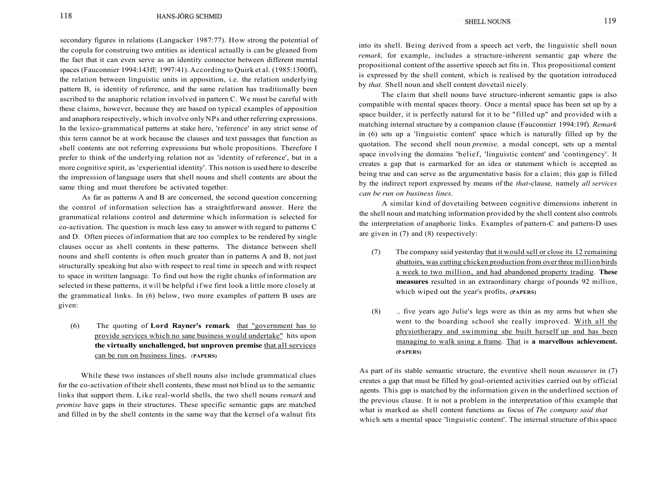secondary figures in relations (Langacker 1987:77). How strong the potential of the copula for construing two entities as identical actually is can be gleaned from the fact that it can even serve as an identity connector between different mental spaces (Fauconnier 1994:143ff; 1997:41). According to Quirk et al. (1985:1300ff), the relation between linguistic units in apposition, i.e. the relation underlying pattern B, is identity of reference, and the same relation has traditionally been ascribed to the anaphoric relation involved in pattern C. We must be careful with these claims, however, because they are based on typical examples of apposition and anaphora respectively, which involve only NPs and other referring expressions. In the lexico-grammatical patterns at stake here, 'reference' in any strict sense of this term cannot be at work because the clauses and text passages that function as shell contents are not referring expressions but whole propositions. Therefore I prefer to think of the underlying relation not as 'identity of reference', but in a more cognitive spirit, as 'experiential identity'. This notion is used here to describe the impression of language users that shell nouns and shell contents are about the same thing and must therefore be activated together.

As far as patterns A and B are concerned, the second question concerning the control of information selection has a straightforward answer. Here the grammatical relations control and determine which information is selected for co-activation. The question is much less easy to answer with regard to patterns C and D. Often pieces of information that are too complex to be rendered by single clauses occur as shell contents in these patterns. The distance between shell nouns and shell contents is often much greater than in patterns A and B, not just structurally speaking but also with respect to real time in speech and with respect to space in written language. To find out how the right chunks of information are selected in these patterns, it will be helpful if we first look a little more closely at the grammatical links. In (6) below, two more examples of pattern B uses are given:

(6) The quoting of **Lord Rayner's remark** that "government has to provide services which no sane business would undertake" hits upon **the virtually unchallenged, but unproven premise** that all services can be run on business lines, (**PAPERS)** 

While these two instances of shell nouns also include grammatical clues for the co-activation of their shell contents, these must not blind us to the semantic links that support them. Like real-world shells, the two shell nouns *remark* and *premise* have gaps in their structures. These specific semantic gaps are matched and filled in by the shell contents in the same way that the kernel of a walnut fits into its shell. Being derived from a speech act verb, the linguistic shell noun *remark,* for example, includes a structure-inherent semantic gap where the propositional content of the assertive speech act fits in. This propositional content is expressed by the shell content, which is realised by the quotation introduced by *that.* Shell noun and shell content dovetail nicely.

The claim that shell nouns have structure-inherent semantic gaps is also compatible with mental spaces theory. Once a mental space has been set up by a space builder, it is perfectly natural for it to be "filled up" and provided with a matching internal structure by a companion clause (Fauconnier 1994:19f). *Remark*  in (6) sets up a 'linguistic content' space which is naturally filled up by the quotation. The second shell noun *premise,* a modal concept, sets up a mental space involving the domains 'belief, 'linguistic content' and 'contingency'. It creates a gap that is earmarked for an idea or statement which is accepted as being true and can serve as the argumentative basis for a claim; this gap is filled by the indirect report expressed by means of the *that*-clause*,* namely *all services can be run on business lines.* 

A similar kind of dovetailing between cognitive dimensions inherent in the shell noun and matching information provided by the shell content also controls the interpretation of anaphoric links. Examples of pattern-C and pattern-D uses are given in (7) and (8) respectively:

- (7) The company said yesterday that it would sell or close its 12 remaining abattoirs, was cutting chicken production from over three million birds a week to two million, and had abandoned property trading. **These measures** resulted in an extraordinary charge of pounds 92 million, which wiped out the year's profits, **(PAPERS)**
- (8) .. five years ago Julie's legs were as thin as my arms but when she went to the boarding school she really improved. With all the physiotherapy and swimming she built herself up and has been managing to walk using a frame. That is **a marvellous achievement. (PAPERS)**

As part of its stable semantic structure, the eventive shell noun *measures* in (7) creates a gap that must be filled by goal-oriented activities carried out by official agents. This gap is matched by the information given in the underlined section of the previous clause. It is not a problem in the interpretation of this example that what is marked as shell content functions as focus of *The company said that*  which sets a mental space 'linguistic content'. The internal structure of this space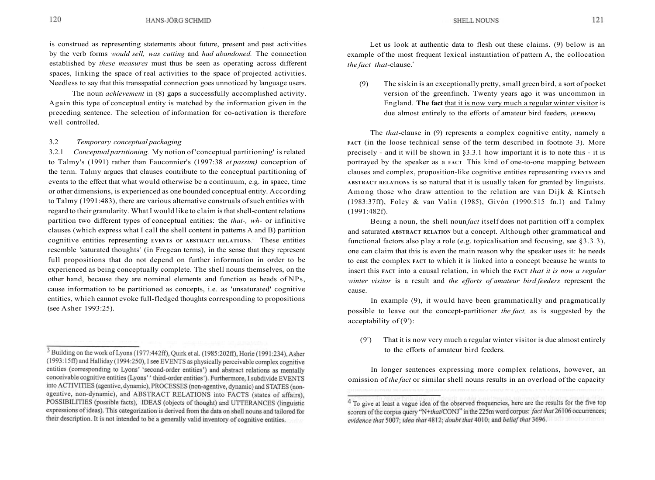is construed as representing statements about future, present and past activities by the verb forms *would sell, was cutting* and *had abandoned.* The connection established by *these measures* must thus be seen as operating across different spaces, linking the space of real activities to the space of projected activities. Needless to say that this transspatial connection goes unnoticed by language users.

The noun *achievement* in (8) gaps a successfully accomplished activity. Again this type of conceptual entity is matched by the information given in the preceding sentence. The selection of information for co-activation is therefore well controlled.

#### 3.2 *Temporary conceptual packaging*

3.2.1 *Conceptual partitioning.* My notion of 'conceptual partitioning' is related to Talmy's (1991) rather than Fauconnier's (1997:38 *et passim)* conception of the term. Talmy argues that clauses contribute to the conceptual partitioning of events to the effect that what would otherwise be a continuum, e.g. in space, time or other dimensions, is experienced as one bounded conceptual entity. According to Talmy (1991:483), there are various alternative construals of such entities with regard to their granularity. What I would like to claim is that shell-content relations partition two different types of conceptual entities: the *that-, wh-* or infinitive clauses (which express what I call the shell content in patterns A and B) partition cognitive entities representing **EVENTS** or **ABSTRACT RELATIONS**. 3 These entities resemble 'saturated thoughts' (in Fregean terms), in the sense that they represent full propositions that do not depend on further information in order to be experienced as being conceptually complete. The shell nouns themselves, on the other hand, because they are nominal elements and function as heads of NPs, cause information to be partitioned as concepts, i.e. as 'unsaturated' cognitive entities, which cannot evoke full-fledged thoughts corresponding to propositions (see Asher 1993:25).

Let us look at authentic data to flesh out these claims. (9) below is an example of the most frequent lexical instantiation of pattern A, the collocation *the fact that-clause.<sup>4</sup>* 

(9) The siskin is an exceptionally pretty, small green bird, a sort of pocket version of the greenfinch. Twenty years ago it was uncommon in England. **The fact** that it is now very much a regular winter visitor is due almost entirely to the efforts of amateur bird feeders, (**EPHEM)** 

The *that*-clause in (9) represents a complex cognitive entity, namely a **FACT** (in the loose technical sense of the term described in footnote 3). More precisely - and it will be shown in  $\S$ 3.3.1 how important it is to note this - it is portrayed by the speaker as a **FACT**. This kind of one-to-one mapping between clauses and complex, proposition-like cognitive entities representing **EVENTS** and **ABSTRACT RELATIONS** is so natural that it is usually taken for granted by linguists. Among those who draw attention to the relation are van Dijk & Kintsch (1983:37ff), Foley & van Valin (1985), Givón (1990:515 fn.1) and Talmy (1991:482f).

Being a noun, the shell noun *fact* itself does not partition off a complex and saturated **ABSTRACT RELATION** but a concept. Although other grammatical and functional factors also play a role (e.g. topicalisation and focusing, see §3.3.3), one can claim that this is even the main reason why the speaker uses it: he needs to cast the complex **FACT** to which it is linked into a concept because he wants to insert this **FACT** into a causal relation, in which the **FACT** *that it is now a regular winter visitor* is a result and *the efforts of amateur bird feeders* represent the cause.

In example (9), it would have been grammatically and pragmatically possible to leave out the concept-partitioner *the fact,* as is suggested by the acceptability of  $(9')$ :

(9') That it is now very much a regular winter visitor is due almost entirely to the efforts of amateur bird feeders.

In longer sentences expressing more complex relations, however, an omission of *the fact* or similar shell nouns results in an overload of the capacity

<sup>&</sup>lt;sup>3</sup> Building on the work of Lyons (1977:442ff), Quirk et al. (1985:202ff), Horie (1991:234), Asher (1993:15ff) and Halliday (1994:250), I see EVENTS as physically perceivable complex cognitive entities (corresponding to Lyons' 'second-order entities') and abstract relations as mentally conceivable cognitive entities (Lyons' 'third-order entities'). Furthermore, I subdivide EVENTS into ACTIVITIES (agentive, dynamic), PROCESSES (non-agentive, dynamic) and STATES (nonagentive, non-dynamic), and ABSTRACT RELATIONS into FACTS (states of affairs). POSSIBILITIES (possible facts), IDEAS (objects of thought) and UTTERANCES (linguistic expressions of ideas). This categorization is derived from the data on shell nouns and tailored for their description. It is not intended to be a generally valid inventory of cognitive entities.

<sup>&</sup>lt;sup>4</sup> To give at least a vague idea of the observed frequencies, here are the results for the five top scorers of the corpus query "N+that/CONJ" in the 225m word corpus: fact that 26106 occurrences; evidence that 5007; idea that 4812; doubt that 4010; and belief that 3696.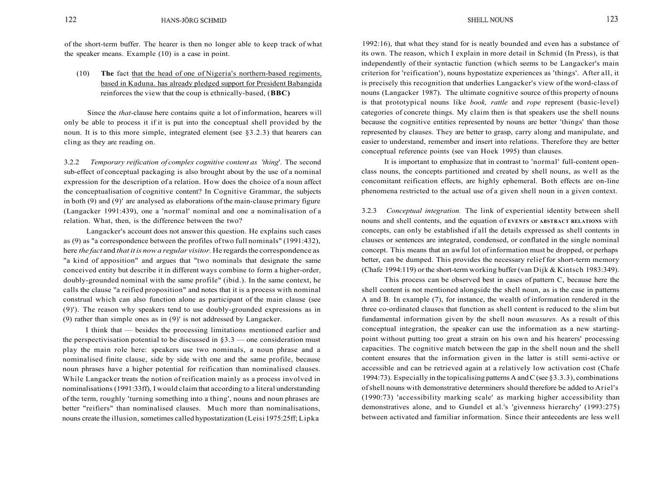of the short-term buffer. The hearer is then no longer able to keep track of what the speaker means. Example (10) is a case in point.

(10) **The** fact that the head of one of Nigeria's northern-based regiments, based in Kaduna. has already pledged support for President Babangida reinforces the view that the coup is ethnically-based, (**BBC)** 

Since the *that-*clause here contains quite a lot of information, hearers will only be able to process it if it is put into the conceptual shell provided by the noun. It is to this more simple, integrated element (see §3.2.3) that hearers can cling as they are reading on.

3.2.2 *Temporary reification of complex cognitive content as 'thing*'. The second sub-effect of conceptual packaging is also brought about by the use of a nominal expression for the description of a relation. How does the choice of a noun affect the conceptualisation of cognitive content? In Cognitive Grammar, the subjects in both (9) and (9)' are analysed as elaborations of the main-clause primary figure (Langacker 1991:439), one a 'normal' nominal and one a nominalisation of a relation. What, then, is the difference between the two?

Langacker's account does not answer this question. He explains such cases as (9) as "a correspondence between the profiles of two full nominals" (1991:432), here *the fact* and *that it is now a regular visitor.* He regards the correspondence as "a kind of apposition" and argues that "two nominals that designate the same conceived entity but describe it in different ways combine to form a higher-order, doubly-grounded nominal with the same profile" (ibid.). In the same context, he calls the clause "a reified proposition" and notes that it is a process with nominal construal which can also function alone as participant of the main clause (see (9)'). The reason why speakers tend to use doubly-grounded expressions as in (9) rather than simple ones as in (9)' is not addressed by Langacker.

I think that — besides the processing limitations mentioned earlier and the perspectivisation potential to be discussed in  $83.3$  — one consideration must play the main role here: speakers use two nominals, a noun phrase and a nominalised finite clause, side by side with one and the same profile, because noun phrases have a higher potential for reification than nominalised clauses. While Langacker treats the notion of reification mainly as a process involved in nominalisations (1991:33ff), I would claim that according to a literal understanding of the term, roughly 'turning something into a thing', nouns and noun phrases are better "reifiers" than nominalised clauses. Much more than nominalisations, nouns create the illusion, sometimes called hypostatization (Leisi 1975:25ff; Lipka

1992:16), that what they stand for is neatly bounded and even has a substance of its own. The reason, which I explain in more detail in Schmid (In Press), is that independently of their syntactic function (which seems to be Langacker's main criterion for 'reification'), nouns hypostatize experiences as 'things'. After all, it is precisely this recognition that underlies Langacker's view of the word-class of nouns (Langacker 1987). The ultimate cognitive source of this property of nouns is that prototypical nouns like *book, rattle* and *rope* represent (basic-level) categories of concrete things. My claim then is that speakers use the shell nouns because the cognitive entities represented by nouns are better 'things' than those represented by clauses. They are better to grasp, carry along and manipulate, and easier to understand, remember and insert into relations. Therefore they are better conceptual reference points (see van Hoek 1995) than clauses.

It is important to emphasize that in contrast to 'normal' full-content openclass nouns, the concepts partitioned and created by shell nouns, as well as the concomitant reification effects, are highly ephemeral. Both effects are on-line phenomena restricted to the actual use of a given shell noun in a given context.

3.2.3 *Conceptual integration.* The link of experiential identity between shell nouns and shell contents, and the equation of **EVENTS** or **ABSTRACT RELATIONS** with concepts, can only be established if all the details expressed as shell contents in clauses or sentences are integrated, condensed, or conflated in the single nominal concept. This means that an awful lot of information must be dropped, or perhaps better, can be dumped. This provides the necessary relief for short-term memory (Chafe 1994:119) or the short-term working buffer (van Dijk & Kintsch 1983:349).

This process can be observed best in cases of pattern C, because here the shell content is not mentioned alongside the shell noun, as is the case in patterns A and B. In example (7), for instance, the wealth of information rendered in the three co-ordinated clauses that function as shell content is reduced to the slim but fundamental information given by the shell noun *measures.* As a result of this conceptual integration, the speaker can use the information as a new startingpoint without putting too great a strain on his own and his hearers' processing capacities. The cognitive match between the gap in the shell noun and the shell content ensures that the information given in the latter is still semi-active or accessible and can be retrieved again at a relatively low activation cost (Chafe 1994:73). Especially in the topicalising patterns A and C (see  $\S 3.3.3$ ), combinations of shell nouns with demonstrative determiners should therefore be added to Ariel's (1990:73) 'accessibility marking scale' as marking higher accessibility than demonstratives alone, and to Gundel et al.'s 'givenness hierarchy' (1993:275) between activated and familiar information. Since their antecedents are less well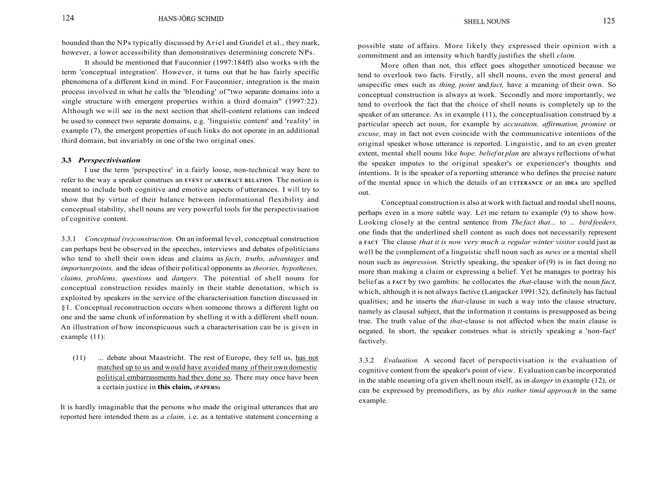bounded than the NPs typically discussed by Ariel and Gundel et al., they mark, however, a lower accessibility than demonstratives determining concrete NPs.

It should be mentioned that Fauconnier (1997:184ff) also works with the term 'conceptual integration'. However, it turns out that he has fairly specific phenomena of a different kind in mind. For Fauconnier, integration is the main process involved in what he calls the 'blending' of "two separate domains into a single structure with emergent properties within a third domain" (1997:22). Although we will see in the next section that shell-content relations can indeed be used to connect two separate domains, e.g. 'linguistic content' and 'reality' in example (7), the emergent properties of such links do not operate in an additional third domain, but invariably in one of the two original ones.

## **3.3** *Perspectivisation*

I use the term 'perspective' in a fairly loose, non-technical way here to refer to the way a speaker construes an **EVENT** or **ABSTRACT RELATION**. The notion is meant to include both cognitive and emotive aspects of utterances. I will try to show that by virtue of their balance between informational flexibility and conceptual stability, shell nouns are very powerful tools for the perspectivisation of cognitive content.

3.3.1 *Conceptual (re)construction.* On an informal level, conceptual construction can perhaps best be observed in the speeches, interviews and debates of politicians who tend to shell their own ideas and claims as *facts, truths, advantages* and *important points,* and the ideas of their political opponents as *theories, hypotheses, claims, problems, questions* and *dangers.* The potential of shell nouns for conceptual construction resides mainly in their stable denotation, which is exploited by speakers in the service of the characterisation function discussed in §1. Conceptual reconstruction occurs when someone throws a different light on one and the same chunk of information by shelling it with a different shell noun. An illustration of how inconspicuous such a characterisation can be is given in example (11):

(11) ... debate about Maastricht. The rest of Europe, they tell us, has not matched up to us and would have avoided many of their own domestic political embarrassments had thev done so. There may once have been a certain justice in **this claim,** (**PAPERS)** 

It is hardly imaginable that the persons who made the original utterances that are reported here intended them as *a claim,* i.e. as a tentative statement concerning a possible state of affairs. More likely they expressed their opinion with a commitment and an intensity which hardly justifies the shell *claim.* 

More often than not, this effect goes altogether unnoticed because we tend to overlook two facts. Firstly, all shell nouns, even the most general and unspecific ones such as *thing, point* and *fact,* have a meaning of their own. So conceptual construction is always at work. Secondly and more importantly, we tend to overlook the fact that the choice of shell nouns is completely up to the speaker of an utterance. As in example (11), the conceptualisation construed by a particular speech act noun, for example by *accusation, affirmation, promise* or *excuse,* may in fact not even coincide with the communicative intentions of the original speaker whose utterance is reported. Linguistic, and to an even greater extent, mental shell nouns like *hope, belief* or *plan* are always reflections of what the speaker imputes to the original speaker's or experiencer's thoughts and intentions. It is the speaker of a reporting utterance who defines the precise nature of the mental space in which the details of an **UTTERANCE** or an **IDEA** are spelled out.

Conceptual construction is also at work with factual and modal shell nouns, perhaps even in a more subtle way. Let me return to example (9) to show how. Looking closely at the central sentence from *The fact that...* to ... *bird feeders,*  one finds that the underlined shell content as such does not necessarily represent a **FACT**. The clause *that it is now very much a regular winter visitor* could just as well be the complement of a linguistic shell noun such as *news* or a mental shell noun such as *impression.* Strictly speaking, the speaker of (9) is in fact doing no more than making a claim or expressing a belief. Yet he manages to portray his belief as a **FACT** by two gambits: he collocates the *that*-clause with the noun *fact,*  which, although it is not always factive (Langacker 1991:32), definitely has factual qualities; and he inserts the *that*-clause in such a way into the clause structure, namely as clausal subject, that the information it contains is presupposed as being true. The truth value of the *that*-clause is not affected when the main clause is negated. In short, the speaker construes what is strictly speaking a 'non-fact' factively.

3.3.2 *Evaluation.* A second facet of perspectivisation is the evaluation of cognitive content from the speaker's point of view. Evaluation can be incorporated in the stable meaning of a given shell noun itself, as in *danger* in example (12), or can be expressed by premodifiers, as by *this rather timid approach* in the same example.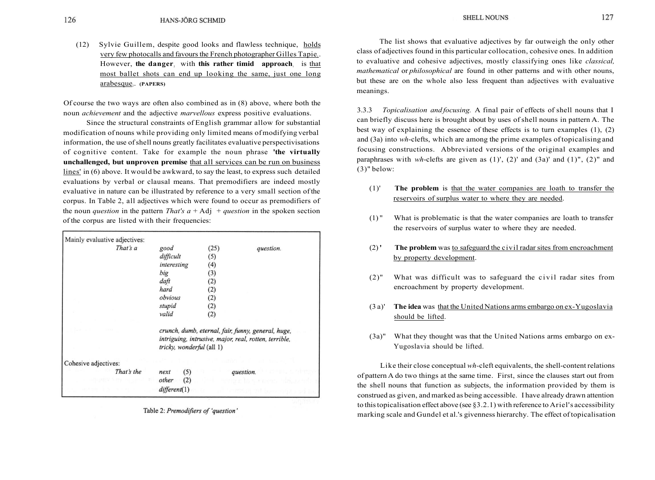(12) Sylvie Guillem, despite good looks and flawless technique, holds very few photocalls and favours the French photographer Gilles Tapie. However, the danger, with this rather timid approach, is that most ballet shots can end up looking the same, just one long arabesque<sub>2</sub>. (PAPERS)

Of course the two ways are often also combined as in (8) above, where both the noun *achievement* and the adjective *marvellous* express positive evaluations.

Since the structural constraints of English grammar allow for substantial modification of nouns while providing only limited means of modifying verbal information, the use of shell nouns greatly facilitates evaluative perspectivisations of cognitive content. Take for example the noun phrase **'the virtually unchallenged, but unproven premise** that all services can be run on business lines' in (6) above. It would be awkward, to say the least, to express such detailed evaluations by verbal or clausal means. That premodifiers are indeed mostly evaluative in nature can be illustrated by reference to a very small section of the corpus. In Table 2, all adjectives which were found to occur as premodifiers of the noun *question* in the pattern *That's*  $a + Adj + question$  in the spoken section of the corpus are listed with their frequencies:

| Mainly evaluative adjectives: |                                                                                                                                          |      |                         |
|-------------------------------|------------------------------------------------------------------------------------------------------------------------------------------|------|-------------------------|
| That's a                      | good                                                                                                                                     | (25) | question.               |
|                               | difficult                                                                                                                                | (5)  |                         |
|                               | interesting                                                                                                                              | (4)  |                         |
|                               | big                                                                                                                                      | (3)  |                         |
|                               | daft                                                                                                                                     | (2)  |                         |
|                               | hard                                                                                                                                     | (2)  |                         |
|                               | obvious                                                                                                                                  | (2)  |                         |
|                               | stupid                                                                                                                                   | (2)  |                         |
|                               | valid                                                                                                                                    | (2)  |                         |
|                               | crunch, dumb, eternal, fair, funny, general, huge,<br>intriguing, intrusive, major, real, rotten, terrible,<br>tricky, wonderful (all 1) |      |                         |
| Cohesive adjectives:          |                                                                                                                                          |      |                         |
| That's the                    | (5)<br>next                                                                                                                              |      | question.               |
|                               | other<br>(2)                                                                                                                             |      |                         |
|                               | differential(1)                                                                                                                          |      | TAGGA 701 berrenga ya n |

Table 2: Premodifiers of 'question'

The list shows that evaluative adjectives by far outweigh the only other class of adjectives found in this particular collocation, cohesive ones. In addition to evaluative and cohesive adjectives, mostly classifying ones like *classical, mathematical* or *philosophical* are found in other patterns and with other nouns, but these are on the whole also less frequent than adjectives with evaluative meanings.

3.3.3 *Topicalisation and focusing.* A final pair of effects of shell nouns that I can briefly discuss here is brought about by uses of shell nouns in pattern A. The best way of explaining the essence of these effects is to turn examples  $(1)$ ,  $(2)$ and (3a) into *wh*-clefts, which are among the prime examples of topicalising and focusing constructions. Abbreviated versions of the original examples and paraphrases with  $wh$ -clefts are given as  $(1)$ ',  $(2)$ ' and  $(3a)$ ' and  $(1)$ ",  $(2)$ " and (3)" below:

- (1)' **The problem** is that the water companies are loath to transfer the reservoirs of surplus water to where they are needed.
- (1) " What is problematic is that the water companies are loath to transfer the reservoirs of surplus water to where they are needed.
- (2) **' The problem** was to safeguard the civil radar sites from encroachment by property development.
- (2)" What was difficult was to safeguard the civil radar sites from encroachment by property development.
- (3 a)' **The idea** was that the United Nations arms embargo on ex-Yugoslavia should be lifted.
- (3a)" What they thought was that the United Nations arms embargo on ex-Yugoslavia should be lifted.

Like their close conceptual *wh-*cleft equivalents, the shell-content relations of pattern A do two things at the same time. First, since the clauses start out from the shell nouns that function as subjects, the information provided by them is construed as given, and marked as being accessible. I have already drawn attention to this topicalisation effect above (see  $\S 3.2.1$ ) with reference to Ariel's accessibility marking scale and Gundel et al.'s givenness hierarchy. The effect of topicalisation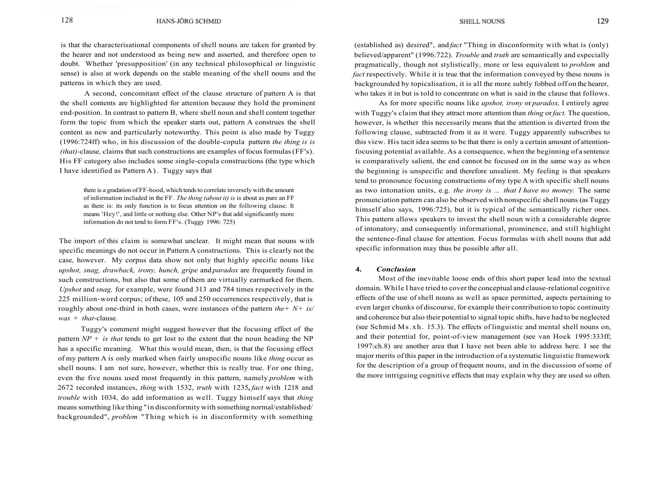is that the characterisational components of shell nouns are taken for granted by the hearer and not understood as being new and asserted, and therefore open to doubt. Whether 'presupposition' (in any technical philosophical or linguistic sense) is also at work depends on the stable meaning of the shell nouns and the patterns in which they are used.

A second, concomitant effect of the clause structure of pattern A is that the shell contents are highlighted for attention because they hold the prominent end-position. In contrast to pattern B, where shell noun and shell content together form the topic from which the speaker starts out, pattern A construes the shell content as new and particularly noteworthy. This point is also made by Tuggy (1996:724ff) who, in his discussion of the double-copula pattern *the thing is is (that)-*clause*,* claims that such constructions are examples of focus formulas (FF's). His FF category also includes some single-copula constructions (the type which I have identified as Pattern A). Tuggy says that

there is a gradation of FF-hood, which tends to correlate inversely with the amount of information included in the FF. *The thing (about it) is* is about as pure an FF as there is: its only function is to focus attention on the following clause. It means 'Hey!', and little or nothing else. Other NP's that add significantly more information do not tend to form FF's. (Tuggy 1996: 725)

The import of this claim is somewhat unclear. It might mean that nouns with specific meanings do not occur in Pattern A constructions. This is clearly not the case, however. My corpus data show not only that highly specific nouns like *upshot, snag, drawback, irony, hunch, gripe* and *paradox* are frequently found in such constructions, but also that some of them are virtually earmarked for them. *Upshot* and *snag,* for example, were found 313 and 784 times respectively in the 225 million-word corpus; of these, 105 and 250 occurrences respectively, that is roughly about one-third in both cases, were instances of the pattern *the+ N+ is/ was + that*-clause*.* 

Tuggy's comment might suggest however that the focusing effect of the pattern  $NP + is that$  tends to get lost to the extent that the noun heading the NP has a specific meaning. What this would mean, then, is that the focusing effect of my pattern A is only marked when fairly unspecific nouns like *thing* occur as shell nouns. I am not sure, however, whether this is really true. For one thing, even the five nouns used most frequently in this pattern, namely *problem* with 2672 recorded instances, *thing* with 1532, *truth* with 1235*, fact* with 1218 and *trouble* with 1034, do add information as well. Tuggy himself says that *thing*  means something like thing "in disconformity with something normal/established/ backgrounded", *problem* "Thing which is in disconformity with something

(established as) desired", and *fact* "Thing in disconformity with what is (only) believed/apparent" (1996:722). *Trouble* and *truth* are semantically and especially pragmatically, though not stylistically, more or less equivalent to *problem* and *fact* respectively. While it is true that the information conveyed by these nouns is backgrounded by topicalisation, it is all the more subtly fobbed off on the hearer, who takes it in but is told to concentrate on what is said in the clause that follows.

As for more specific nouns like *upshot, irony* or *paradox,* I entirely agree with Tuggy's claim that they attract more attention than *thing* or *fact.* The question, however, is whether this necessarily means that the attention is diverted from the following clause, subtracted from it as it were. Tuggy apparently subscribes to this view. His tacit idea seems to be that there is only a certain amount of attentionfocusing potential available. As a consequence, when the beginning of a sentence is comparatively salient, the end cannot be focused on in the same way as when the beginning is unspecific and therefore unsalient. My feeling is that speakers tend to pronounce focusing constructions of my type A with specific shell nouns as two intonation units, e.g. *the irony is ... that I have no money.* The same pronunciation pattern can also be observed with nonspecific shell nouns (as Tuggy himself also says, 1996:725), but it is typical of the semantically richer ones. This pattern allows speakers to invest the shell noun with a considerable degree of intonatory, and consequently informational, prominence, and still highlight the sentence-final clause for attention. Focus formulas with shell nouns that add specific information may thus be possible after all.

#### **4.** *Conclusion*

Most of the inevitable loose ends of this short paper lead into the textual domain. While I have tried to cover the conceptual and clause-relational cognitive effects of the use of shell nouns as well as space permitted, aspects pertaining to even larger chunks of discourse, for example their contribution to topic continuity and coherence but also their potential to signal topic shifts, have had to be neglected (see Schmid Ms.xh. 15.3). The effects of linguistic and mental shell nouns on, and their potential for, point-of-view management (see van Hoek 1995:333ff; 1997:ch.8) are another area that I have not been able to address here. I see the major merits of this paper in the introduction of a systematic linguistic framework for the description of a group of frequent nouns, and in the discussion of some of the more intriguing cognitive effects that may explain why they are used so often.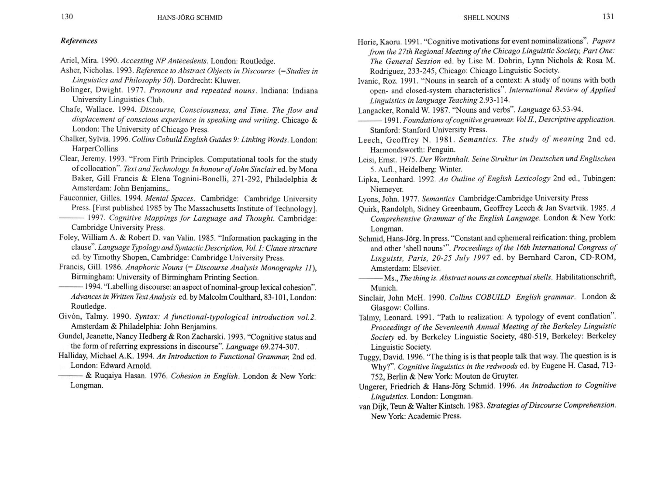130

Ariel, Mira. 1990. Accessing NP Antecedents. London: Routledge.

- Asher, Nicholas. 1993. Reference to Abstract Objects in Discourse (= Studies in Linguistics and Philosophy 50). Dordrecht: Kluwer.
- Bolinger, Dwight. 1977. Pronouns and repeated nouns. Indiana: Indiana University Linguistics Club.

Chafe, Wallace. 1994. Discourse, Consciousness, and Time. The flow and displacement of conscious experience in speaking and writing. Chicago & London: The University of Chicago Press.

- Chalker, Sylvia. 1996. Collins Cobuild English Guides 9: Linking Words. London: **HarperCollins**
- Clear, Jeremy. 1993. "From Firth Principles. Computational tools for the study of collocation". Text and Technology. In honour of John Sinclair ed. by Mona Baker, Gill Francis & Elena Tognini-Bonelli, 271-292, Philadelphia & Amsterdam: John Benjamins...
- Fauconnier, Gilles. 1994. Mental Spaces. Cambridge: Cambridge University Press. [First published 1985 by The Massachusetts Institute of Technology]. -1997. Cognitive Mappings for Language and Thought. Cambridge: Cambridge University Press.
- Foley, William A. & Robert D. van Valin. 1985. "Information packaging in the clause". Language Typology and Syntactic Description. Vol. I: Clause structure ed. by Timothy Shopen, Cambridge: Cambridge University Press.
- Francis, Gill. 1986. Anaphoric Nouns (= Discourse Analysis Monographs 11). Birmingham: University of Birmingham Printing Section.

-1994. "Labelling discourse: an aspect of nominal-group lexical cohesion". Advances in Written Text Analysis ed. by Malcolm Coulthard, 83-101, London: Routledge.

- Givón, Talmy. 1990. Syntax: A functional-typological introduction vol.2. Amsterdam & Philadelphia: John Benjamins.
- Gundel, Jeanette, Nancy Hedberg & Ron Zacharski. 1993. "Cognitive status and the form of referring expressions in discourse". Language 69.274-307.
- Halliday, Michael A.K. 1994. An Introduction to Functional Grammar, 2nd ed. London: Edward Arnold.
- & Ruqaiya Hasan. 1976. Cohesion in English. London & New York: Longman.
- Horie, Kaoru. 1991. "Cognitive motivations for event nominalizations". Papers from the 27th Regional Meeting of the Chicago Linguistic Society, Part One: The General Session ed. by Lise M. Dobrin, Lynn Nichols & Rosa M. Rodriguez, 233-245, Chicago: Chicago Linguistic Society.
- Ivanic, Roz. 1991. "Nouns in search of a context: A study of nouns with both open- and closed-system characteristics". International Review of Applied Linguistics in language Teaching 2.93-114.
- Langacker, Ronald W. 1987. "Nouns and verbs". Language 63.53-94.
- -1991. Foundations of cognitive grammar. Vol II., Descriptive application. Stanford: Stanford University Press.
- Leech, Geoffrey N. 1981. Semantics. The study of meaning 2nd ed. Harmondsworth: Penguin.
- Leisi, Ernst. 1975. Der Wortinhalt. Seine Struktur im Deutschen und Englischen 5. Aufl., Heidelberg: Winter.
- Lipka, Leonhard. 1992. An Outline of English Lexicology 2nd ed., Tubingen: Niemeyer.
- Lyons, John. 1977. Semantics Cambridge:Cambridge University Press
- Quirk, Randolph, Sidney Greenbaum, Geoffrey Leech & Jan Svartvik. 1985. A Comprehensive Grammar of the English Language. London & New York: Longman.
- Schmid, Hans-Jörg. In press. "Constant and ephemeral reification: thing, problem and other 'shell nouns'". Proceedings of the 16th International Congress of Linguists, Paris, 20-25 July 1997 ed. by Bernhard Caron, CD-ROM, Amsterdam: Elsevier.
- Ms., The thing is. Abstract nouns as conceptual shells. Habilitationschrift, Munich.
- Sinclair, John McH. 1990. Collins COBUILD English grammar. London & Glasgow: Collins.
- Talmy, Leonard. 1991. "Path to realization: A typology of event conflation". Proceedings of the Seventeenth Annual Meeting of the Berkeley Linguistic Society ed. by Berkeley Linguistic Society, 480-519, Berkeley: Berkeley Linguistic Society.
- Tuggy, David. 1996. "The thing is is that people talk that way. The question is is Why?". Cognitive linguistics in the redwoods ed. by Eugene H. Casad, 713-752, Berlin & New York: Mouton de Gruyter.
- Ungerer, Friedrich & Hans-Jörg Schmid. 1996. An Introduction to Cognitive Linguistics. London: Longman.
- van Dijk, Teun & Walter Kintsch. 1983. Strategies of Discourse Comprehension. New York: Academic Press.